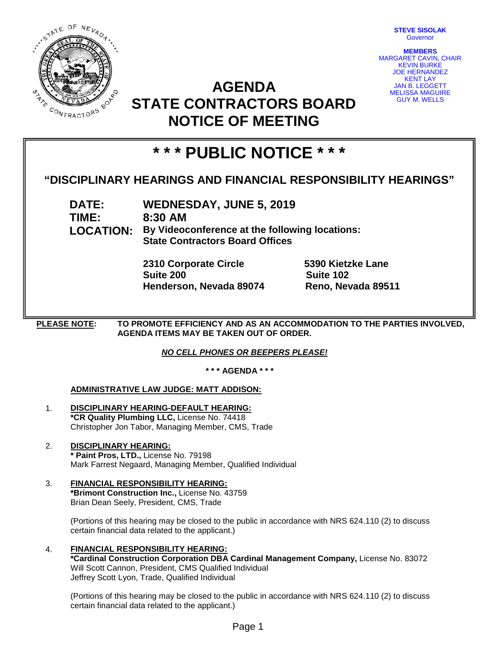

**STEVE SISOLAK** Governor

**MEMBERS** MARGARET CAVIN, CHAIR KEVIN BURKE JOE HERNANDEZ KENT LAY JAN B. LEGGETT MELISSA MAGUIRE GUY M. WELLS

## **AGENDA STATE CONTRACTORS BOARD NOTICE OF MEETING**

# **\* \* \* PUBLIC NOTICE \* \* \***

## **"DISCIPLINARY HEARINGS AND FINANCIAL RESPONSIBILITY HEARINGS"**

**DATE: WEDNESDAY, JUNE 5, 2019 TIME: 8:30 AM LOCATION: By Videoconference at the following locations: State Contractors Board Offices**

> **2310 Corporate Circle 5390 Kietzke Lane Suite 200 Suite 102 Henderson, Nevada 89074 Reno, Nevada 89511**

**PLEASE NOTE: TO PROMOTE EFFICIENCY AND AS AN ACCOMMODATION TO THE PARTIES INVOLVED, AGENDA ITEMS MAY BE TAKEN OUT OF ORDER.**

*NO CELL PHONES OR BEEPERS PLEASE!* 

**\* \* \* AGENDA \* \* \***

## **ADMINISTRATIVE LAW JUDGE: MATT ADDISON:**

- 1. **DISCIPLINARY HEARING-DEFAULT HEARING: \*CR Quality Plumbing LLC,** License No. 74418 Christopher Jon Tabor, Managing Member, CMS, Trade
- 2. **DISCIPLINARY HEARING: \* Paint Pros, LTD.,** License No. 79198 Mark Farrest Negaard, Managing Member, Qualified Individual
- 3. **FINANCIAL RESPONSIBILITY HEARING: \*Brimont Construction Inc.,** License No. 43759 Brian Dean Seely, President, CMS, Trade

(Portions of this hearing may be closed to the public in accordance with NRS 624.110 (2) to discuss certain financial data related to the applicant.)

4. **FINANCIAL RESPONSIBILITY HEARING: \*Cardinal Construction Corporation DBA Cardinal Management Company,** License No. 83072 Will Scott Cannon, President, CMS Qualified Individual Jeffrey Scott Lyon, Trade, Qualified Individual

(Portions of this hearing may be closed to the public in accordance with NRS 624.110 (2) to discuss certain financial data related to the applicant.)